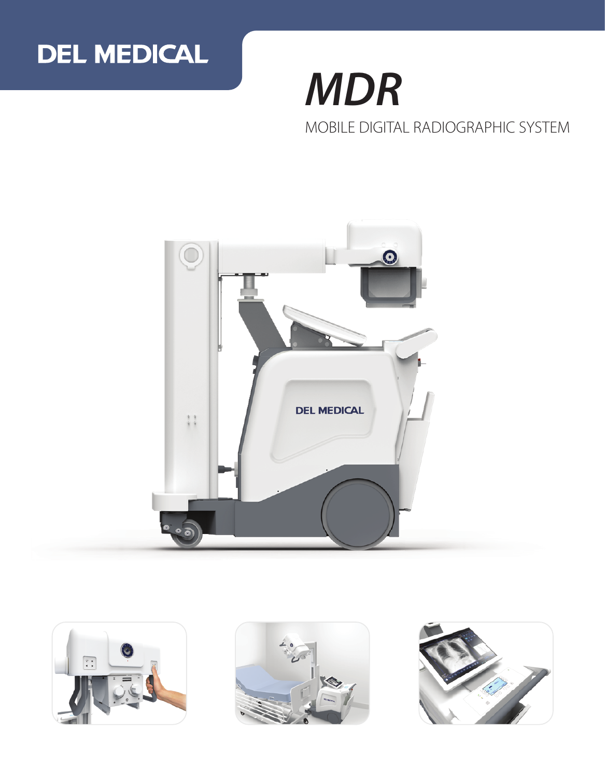

# *MDR* MOBILE DIGITAL RADIOGRAPHIC SYSTEM







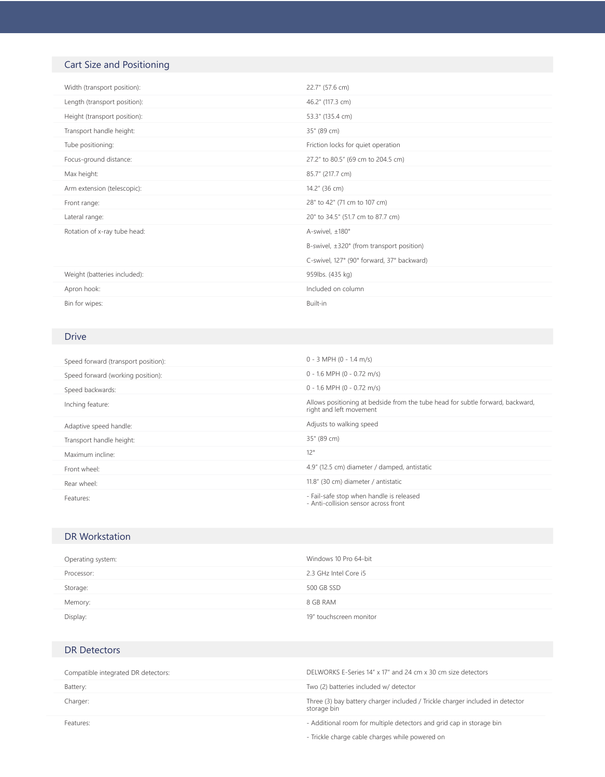# Cart Size and Positioning

| Width (transport position):  | 22.7" (57.6 cm)                                     |
|------------------------------|-----------------------------------------------------|
| Length (transport position): | 46.2" (117.3 cm)                                    |
| Height (transport position): | 53.3" (135.4 cm)                                    |
| Transport handle height:     | 35" (89 cm)                                         |
| Tube positioning:            | Friction locks for quiet operation                  |
| Focus-ground distance:       | 27.2" to 80.5" (69 cm to 204.5 cm)                  |
| Max height:                  | 85.7" (217.7 cm)                                    |
| Arm extension (telescopic):  | 14.2" (36 cm)                                       |
| Front range:                 | 28" to 42" (71 cm to 107 cm)                        |
| Lateral range:               | 20" to 34.5" (51.7 cm to 87.7 cm)                   |
| Rotation of x-ray tube head: | A-swivel, ±180°                                     |
|                              | B-swivel, $\pm 320^\circ$ (from transport position) |
|                              | C-swivel, 127° (90° forward, 37° backward)          |
| Weight (batteries included): | 959lbs. (435 kg)                                    |
| Apron hook:                  | Included on column                                  |
|                              |                                                     |

## Drive

| Speed forward (transport position): | $0 - 3$ MPH $(0 - 1.4$ m/s)                                                                               |
|-------------------------------------|-----------------------------------------------------------------------------------------------------------|
| Speed forward (working position):   | $0 - 1.6$ MPH (0 - 0.72 m/s)                                                                              |
| Speed backwards:                    | $0 - 1.6$ MPH (0 - 0.72 m/s)                                                                              |
| Inching feature:                    | Allows positioning at bedside from the tube head for subtle forward, backward,<br>right and left movement |
| Adaptive speed handle:              | Adjusts to walking speed                                                                                  |
| Transport handle height:            | 35" (89 cm)                                                                                               |
| Maximum incline:                    | 12°                                                                                                       |
| Front wheel:                        | 4.9" (12.5 cm) diameter / damped, antistatic                                                              |
| Rear wheel:                         | 11.8" (30 cm) diameter / antistatic                                                                       |
| Features:                           | - Fail-safe stop when handle is released<br>- Anti-collision sensor across front                          |

## DR Workstation

| Operating system: | Windows 10 Pro 64-bit   |
|-------------------|-------------------------|
| Processor:        | 2.3 GHz Intel Core i5   |
| Storage:          | 500 GB SSD              |
| Memory:           | 8 GB RAM                |
| Display:          | 19" touchscreen monitor |

## DR Detectors

| Compatible integrated DR detectors: | DELWORKS E-Series 14" x 17" and 24 cm x 30 cm size detectors                                 |
|-------------------------------------|----------------------------------------------------------------------------------------------|
| Battery:                            | Two (2) batteries included w/ detector                                                       |
| Charger:                            | Three (3) bay battery charger included / Trickle charger included in detector<br>storage bin |
| Features:                           | - Additional room for multiple detectors and grid cap in storage bin                         |
|                                     | - Trickle charge cable charges while powered on                                              |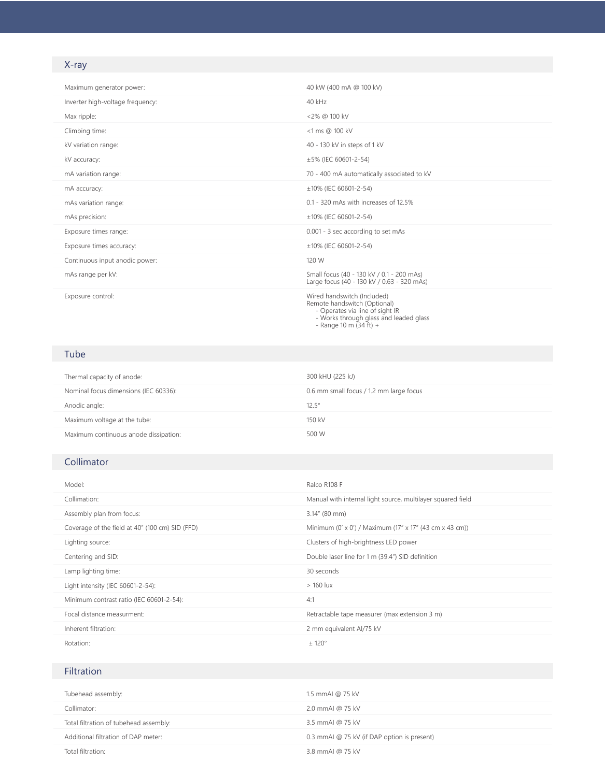# X-ray

| Maximum generator power:         | 40 kW (400 mA @ 100 kV)                                                                 |
|----------------------------------|-----------------------------------------------------------------------------------------|
| Inverter high-voltage frequency: | 40 kHz                                                                                  |
| Max ripple:                      | <2% @ 100 kV                                                                            |
| Climbing time:                   | <1 ms @ 100 kV                                                                          |
| kV variation range:              | 40 - 130 kV in steps of 1 kV                                                            |
| kV accuracy:                     | ±5% (IEC 60601-2-54)                                                                    |
| mA variation range:              | 70 - 400 mA automatically associated to kV                                              |
| mA accuracy:                     | ±10% (IEC 60601-2-54)                                                                   |
| mAs variation range:             | 0.1 - 320 mAs with increases of 12.5%                                                   |
| mAs precision:                   | ±10% (IEC 60601-2-54)                                                                   |
| Exposure times range:            | 0.001 - 3 sec according to set mAs                                                      |
| Exposure times accuracy:         | ±10% (IEC 60601-2-54)                                                                   |
| Continuous input anodic power:   | 120 W                                                                                   |
| mAs range per kV:                | Small focus (40 - 130 kV / 0.1 - 200 mAs)<br>Large focus (40 - 130 kV / 0.63 - 320 mAs) |
| Exposure control:                | Wired handswitch (Included)<br>Departed to construction (Opening on IV)                 |

- Wired handswitch (Included)<br>
Remote handswitch (Optional)<br>
 Operates via line of sight IR<br>
 Works through glass and leaded glass<br>
 Range 10 m (34 ft) +
	-
	-

#### Tube

| Thermal capacity of anode:            | 300 kHU (225 kJ)                        |
|---------------------------------------|-----------------------------------------|
| Nominal focus dimensions (IEC 60336): | 0.6 mm small focus / 1.2 mm large focus |
| Anodic angle:                         | $12.5^{\circ}$                          |
| Maximum voltage at the tube:          | 150 kV                                  |
| Maximum continuous anode dissipation: | 500 W                                   |

#### Collimator

| Model:                                          | Ralco R108 F                                                |  |
|-------------------------------------------------|-------------------------------------------------------------|--|
| Collimation:                                    | Manual with internal light source, multilayer squared field |  |
| Assembly plan from focus:                       | $3.14''$ (80 mm)                                            |  |
| Coverage of the field at 40" (100 cm) SID (FFD) | Minimum (0' x 0') / Maximum (17" x 17" (43 cm x 43 cm))     |  |
| Lighting source:                                | Clusters of high-brightness LED power                       |  |
| Centering and SID:                              | Double laser line for 1 m (39.4") SID definition            |  |
| Lamp lighting time:                             | 30 seconds                                                  |  |
| Light intensity (IEC 60601-2-54):               | $>160$ lux                                                  |  |
| Minimum contrast ratio (IEC 60601-2-54):        | 4:1                                                         |  |
| Focal distance measurment:                      | Retractable tape measurer (max extension 3 m)               |  |
| Inherent filtration:                            | 2 mm equivalent Al/75 kV                                    |  |
| Rotation:                                       | ± 120°                                                      |  |

#### Filtration

| Tubehead assembly:                     | 1.5 mmAI @ 75 kV                            |
|----------------------------------------|---------------------------------------------|
| Collimator:                            | 2.0 mmAI @ 75 kV                            |
| Total filtration of tubehead assembly: | 3.5 mmAI @ 75 kV                            |
| Additional filtration of DAP meter:    | 0.3 mmAI @ 75 kV (if DAP option is present) |
| Total filtration:                      | 3.8 mmAI @ 75 kV                            |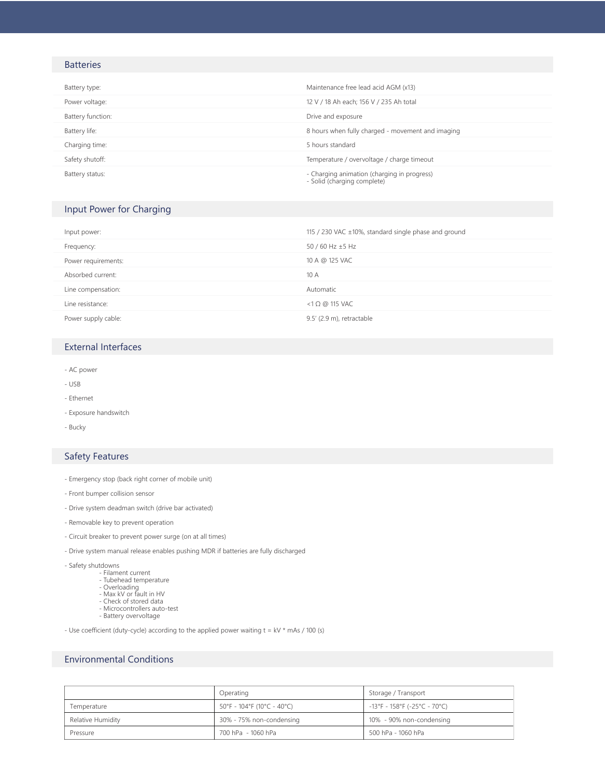#### **Batteries**

| Battery type:     | Maintenance free lead acid AGM (x13)                                       |
|-------------------|----------------------------------------------------------------------------|
| Power voltage:    | 12 V / 18 Ah each; 156 V / 235 Ah total                                    |
| Battery function: | Drive and exposure                                                         |
| Battery life:     | 8 hours when fully charged - movement and imaging                          |
| Charging time:    | 5 hours standard                                                           |
| Safety shutoff:   | Temperature / overvoltage / charge timeout                                 |
| Battery status:   | - Charging animation (charging in progress)<br>- Solid (charging complete) |

#### Input Power for Charging

| Input power:        | 115 / 230 VAC ±10%, standard single phase and ground |
|---------------------|------------------------------------------------------|
| Frequency:          | 50 / 60 Hz ±5 Hz                                     |
| Power requirements: | 10 A @ 125 VAC                                       |
| Absorbed current:   | 10 A                                                 |
| Line compensation:  | Automatic                                            |
| Line resistance:    | $<$ 1 $\Omega$ @ 115 VAC                             |
| Power supply cable: | 9.5' (2.9 m), retractable                            |

#### External Interfaces

- AC power
- USB
- Ethernet
- Exposure handswitch
- Bucky

#### Safety Features

- Emergency stop (back right corner of mobile unit)
- Front bumper collision sensor
- Drive system deadman switch (drive bar activated)
- Removable key to prevent operation
- Circuit breaker to prevent power surge (on at all times)
- Drive system manual release enables pushing MDR if batteries are fully discharged
- Safety shutdowns
- Filament current Tubehead temperature
	-
	-
- Overloading Max kV or fault in HV Check of stored data
	- Microcontrollers auto-test
	- Battery overvoltage

- Use coefficient (duty-cycle) according to the applied power waiting  $t = kV * mAs / 100$  (s)

#### Environmental Conditions

|                   | Operating                  | Storage / Transport                    |
|-------------------|----------------------------|----------------------------------------|
| Temperature       | 50°F - 104°F (10°C - 40°C) | $-13^{\circ}$ F - 158°F (-25°C - 70°C) |
| Relative Humidity | 30% - 75% non-condensing   | 10% - 90% non-condensing               |
| Pressure          | 700 hPa - 1060 hPa         | 500 hPa - 1060 hPa                     |